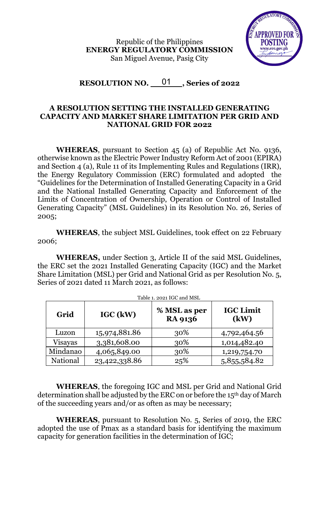Republic of the Philippines **ENERGY REGULATORY COMMISSION** San Miguel Avenue, Pasig City



RESOLUTION NO. \_\_01\_\_\_, Series of 2022

## **A RESOLUTION SETTING THE INSTALLED GENERATING CAPACITY AND MARKET SHARE LIMITATION PER GRID AND NATIONAL GRID FOR 2022**

**WHEREAS**, pursuant to Section 45 (a) of Republic Act No. 9136, otherwise known as the Electric Power Industry Reform Act of 2001 (EPIRA) and Section 4 (a), Rule 11 of its Implementing Rules and Regulations (IRR), the Energy Regulatory Commission (ERC) formulated and adopted the "Guidelines for the Determination of Installed Generating Capacity in a Grid and the National Installed Generating Capacity and Enforcement of the Limits of Concentration of Ownership, Operation or Control of Installed Generating Capacity" (MSL Guidelines) in its Resolution No. 26, Series of 2005;

**WHEREAS**, the subject MSL Guidelines, took effect on 22 February 2006;

**WHEREAS,** under Section 3, Article II of the said MSL Guidelines, the ERC set the 2021 Installed Generating Capacity (IGC) and the Market Share Limitation (MSL) per Grid and National Grid as per Resolution No. 5, Series of 2021 dated 11 March 2021, as follows:

| Table 1. 2021 IGC and MSL |               |                                |                          |  |
|---------------------------|---------------|--------------------------------|--------------------------|--|
| Grid                      | IGC (kW)      | % MSL as per<br><b>RA 9136</b> | <b>IGC Limit</b><br>(kW) |  |
| Luzon                     | 15,974,881.86 | 30%                            | 4,792,464.56             |  |
| Visayas                   | 3,381,608.00  | 30%                            | 1,014,482.40             |  |
| Mindanao                  | 4,065,849.00  | 30%                            | 1,219,754.70             |  |
| National                  | 23,422,338.86 | 25%                            | 5,855,584.82             |  |

**WHEREAS**, the foregoing IGC and MSL per Grid and National Grid determination shall be adjusted by the ERC on or before the 15th day of March of the succeeding years and/or as often as may be necessary;

**WHEREAS**, pursuant to Resolution No. 5, Series of 2019, the ERC adopted the use of Pmax as a standard basis for identifying the maximum capacity for generation facilities in the determination of IGC;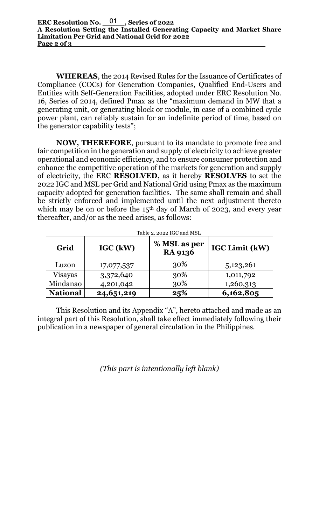**WHEREAS**, the 2014 Revised Rules for the Issuance of Certificates of Compliance (COCs) for Generation Companies, Qualified End-Users and Entities with Self-Generation Facilities, adopted under ERC Resolution No. 16, Series of 2014, defined Pmax as the "maximum demand in MW that a generating unit, or generating block or module, in case of a combined cycle power plant, can reliably sustain for an indefinite period of time, based on the generator capability tests";

**NOW, THEREFORE**, pursuant to its mandate to promote free and fair competition in the generation and supply of electricity to achieve greater operational and economic efficiency, and to ensure consumer protection and enhance the competitive operation of the markets for generation and supply of electricity, the ERC **RESOLVED,** as it hereby **RESOLVES** to set the 2022 IGC and MSL per Grid and National Grid using Pmax as the maximum capacity adopted for generation facilities. The same shall remain and shall be strictly enforced and implemented until the next adjustment thereto which may be on or before the  $15<sup>th</sup>$  day of March of 2023, and every year thereafter, and/or as the need arises, as follows:

| Grid            | IGC (kW)     | % MSL as per<br><b>RA 9136</b> | <b>IGC Limit (kW)</b> |
|-----------------|--------------|--------------------------------|-----------------------|
| Luzon           | 17,077,537   | 30%                            | 5,123,261             |
| <b>Visayas</b>  | 3,372,640    | 30%                            | 1,011,792             |
| Mindanao        | 4,201,042    | 30%                            | 1,260,313             |
| <b>National</b> | 24, 651, 219 | 25%                            | 6,162,805             |

Table 2. 2022 IGC and MSL

This Resolution and its Appendix "A", hereto attached and made as an integral part of this Resolution, shall take effect immediately following their publication in a newspaper of general circulation in the Philippines.

*(This part is intentionally left blank)*